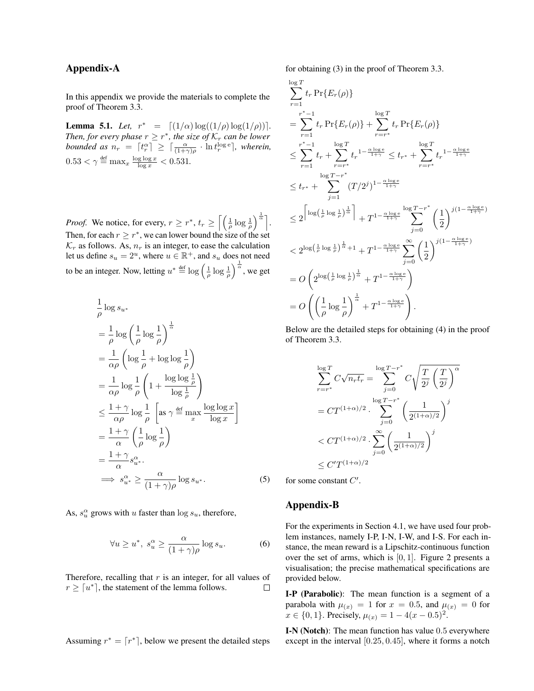## Appendix-A

In this appendix we provide the materials to complete the proof of Theorem 3.3.

**Lemma 5.1.** *Let,*  $r^* = [(1/\alpha) \log((1/\rho)) \log(1/\rho))]$ . *Then, for every phase*  $r \geq r^*$ *, the size of*  $\mathcal{K}_r$  *can be lower bounded as*  $n_r = \lceil t_r^{\alpha} \rceil \geq \lceil \frac{\alpha}{(1+\gamma)\rho} \cdot \ln t_r^{\log e} \rceil$ , wherein,  $0.53 < \gamma \triangleq \max_x \frac{\log \log x}{\log x} < 0.531.$ 

*Proof.* We notice, for every,  $r \geq r^*$ ,  $t_r \geq \left[ \left( \frac{1}{\rho} \log \frac{1}{\rho} \right)^{\frac{1}{\alpha}} \right]$ . Then, for each  $r \geq r^*$ , we can lower bound the size of the set  $\mathcal{K}_r$  as follows. As,  $n_r$  is an integer, to ease the calculation let us define  $s_u = 2^u$ , where  $u \in \mathbb{R}^+$ , and  $s_u$  does not need to be an integer. Now, letting  $u^* \stackrel{\text{def}}{=} \log \left( \frac{1}{\rho} \log \frac{1}{\rho} \right)^{\frac{1}{\alpha}}$ , we get

$$
\frac{1}{\rho} \log s_{u^*}
$$
\n
$$
= \frac{1}{\rho} \log \left( \frac{1}{\rho} \log \frac{1}{\rho} \right)^{\frac{1}{\alpha}}
$$
\n
$$
= \frac{1}{\alpha \rho} \left( \log \frac{1}{\rho} + \log \log \frac{1}{\rho} \right)
$$
\n
$$
= \frac{1}{\alpha \rho} \log \frac{1}{\rho} \left( 1 + \frac{\log \log \frac{1}{\rho}}{\log \frac{1}{\rho}} \right)
$$
\n
$$
\leq \frac{1 + \gamma}{\alpha \rho} \log \frac{1}{\rho} \left[ \text{as } \gamma \stackrel{\text{def}}{=} \max_{x} \frac{\log \log x}{\log x} \right]
$$
\n
$$
= \frac{1 + \gamma}{\alpha} \left( \frac{1}{\rho} \log \frac{1}{\rho} \right)
$$
\n
$$
= \frac{1 + \gamma}{\alpha} s_{u^*}^{\alpha}.
$$
\n
$$
\implies s_{u^*}^{\alpha} \geq \frac{\alpha}{(1 + \gamma)\rho} \log s_{u^*}.
$$

As,  $s_u^{\alpha}$  grows with u faster than  $\log s_u$ , therefore,

$$
\forall u \ge u^*, \ s_u^{\alpha} \ge \frac{\alpha}{(1+\gamma)\rho} \log s_u. \tag{6}
$$

Therefore, recalling that  $r$  is an integer, for all values of  $r \geq \lceil u^* \rceil$ , the statement of the lemma follows.  $\Box$ 

Assuming  $r^* = \lceil r^* \rceil$ , below we present the detailed steps

for obtaining (3) in the proof of Theorem 3.3.

$$
\sum_{r=1}^{\log T} t_r \Pr\{E_r(\rho)\}
$$
\n
$$
= \sum_{r=1}^{r^*-1} t_r \Pr\{E_r(\rho)\} + \sum_{r=r^*}^{\log T} t_r \Pr\{E_r(\rho)\}
$$
\n
$$
\leq \sum_{r=1}^{r^*-1} t_r + \sum_{r=r^*}^{\log T} t_r^{1-\frac{\alpha \log e}{1+\gamma}} \leq t_{r^*} + \sum_{r=r^*}^{\log T} t_r^{1-\frac{\alpha \log e}{1+\gamma}}
$$
\n
$$
\leq t_{r^*} + \sum_{j=1}^{\log T-r^*} (T/2^j)^{1-\frac{\alpha \log e}{1+\gamma}}
$$
\n
$$
\leq 2^{\left[\log\left(\frac{1}{\rho}\log\frac{1}{\rho}\right)\frac{1}{\alpha}\right]} + T^{1-\frac{\alpha \log e}{1+\gamma}} \sum_{j=0}^{\log T-r^*} \left(\frac{1}{2}\right)^{j(1-\frac{\alpha \log e}{1+\gamma})}
$$
\n
$$
< 2^{\log\left(\frac{1}{\rho}\log\frac{1}{\rho}\right)\frac{1}{\alpha}} + T^{1-\frac{\alpha \log e}{1+\gamma}} \sum_{j=0}^{\infty} \left(\frac{1}{2}\right)^{j(1-\frac{\alpha \log e}{1+\gamma})}
$$
\n
$$
= O\left(2^{\log\left(\frac{1}{\rho}\log\frac{1}{\rho}\right)\frac{1}{\alpha}} + T^{1-\frac{\alpha \log e}{1+\gamma}}\right)
$$
\n
$$
= O\left(\left(\frac{1}{\rho}\log\frac{1}{\rho}\right)^{\frac{1}{\alpha}} + T^{1-\frac{\alpha \log e}{1+\gamma}}\right).
$$

Below are the detailed steps for obtaining (4) in the proof of Theorem 3.3.

$$
\sum_{r=r^*}^{\log T} C\sqrt{n_r t_r} = \sum_{j=0}^{\log T-r^*} C\sqrt{\frac{T}{2^j} \left(\frac{T}{2^j}\right)^{\alpha}}
$$

$$
= C T^{(1+\alpha)/2} \cdot \sum_{j=0}^{\log T-r^*} \left(\frac{1}{2^{(1+\alpha)/2}}\right)^j
$$

$$
< C T^{(1+\alpha)/2} \cdot \sum_{j=0}^{\infty} \left(\frac{1}{2^{(1+\alpha)/2}}\right)^j
$$

$$
\leq C' T^{(1+\alpha)/2}
$$

for some constant  $C'$ .

## Appendix-B

 $(5)$ 

For the experiments in Section 4.1, we have used four problem instances, namely I-P, I-N, I-W, and I-S. For each instance, the mean reward is a Lipschitz-continuous function over the set of arms, which is [0, 1]. Figure 2 presents a visualisation; the precise mathematical specifications are provided below.

I-P (Parabolic): The mean function is a segment of a parabola with  $\mu(x) = 1$  for  $x = 0.5$ , and  $\mu(x) = 0$  for  $x \in \{0, 1\}$ . Precisely,  $\mu_{(x)} = 1 - 4(x - 0.5)^2$ .

I-N (Notch): The mean function has value 0.5 everywhere except in the interval [0.25, 0.45], where it forms a notch